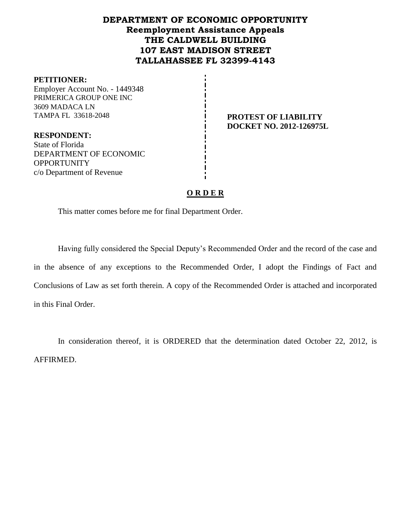## **DEPARTMENT OF ECONOMIC OPPORTUNITY Reemployment Assistance Appeals THE CALDWELL BUILDING 107 EAST MADISON STREET TALLAHASSEE FL 32399-4143**

#### **PETITIONER:**

Employer Account No. - 1449348 PRIMERICA GROUP ONE INC 3609 MADACA LN TAMPA FL 33618-2048 **PROTEST OF LIABILITY** 

**DOCKET NO. 2012-126975L**

**RESPONDENT:** State of Florida DEPARTMENT OF ECONOMIC **OPPORTUNITY** c/o Department of Revenue

## **O R D E R**

This matter comes before me for final Department Order.

Having fully considered the Special Deputy's Recommended Order and the record of the case and in the absence of any exceptions to the Recommended Order, I adopt the Findings of Fact and Conclusions of Law as set forth therein. A copy of the Recommended Order is attached and incorporated in this Final Order.

In consideration thereof, it is ORDERED that the determination dated October 22, 2012, is AFFIRMED.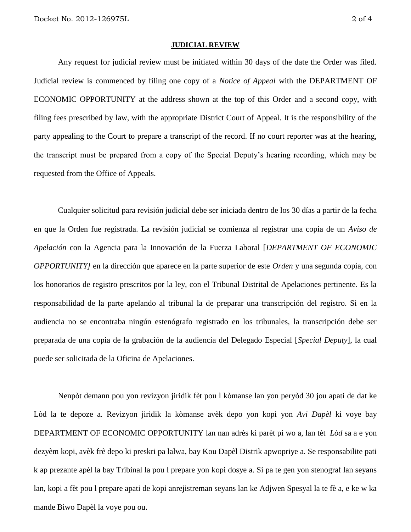#### **JUDICIAL REVIEW**

Any request for judicial review must be initiated within 30 days of the date the Order was filed. Judicial review is commenced by filing one copy of a *Notice of Appeal* with the DEPARTMENT OF ECONOMIC OPPORTUNITY at the address shown at the top of this Order and a second copy, with filing fees prescribed by law, with the appropriate District Court of Appeal. It is the responsibility of the party appealing to the Court to prepare a transcript of the record. If no court reporter was at the hearing, the transcript must be prepared from a copy of the Special Deputy's hearing recording, which may be requested from the Office of Appeals.

Cualquier solicitud para revisión judicial debe ser iniciada dentro de los 30 días a partir de la fecha en que la Orden fue registrada. La revisión judicial se comienza al registrar una copia de un *Aviso de Apelación* con la Agencia para la Innovación de la Fuerza Laboral [*DEPARTMENT OF ECONOMIC OPPORTUNITY]* en la dirección que aparece en la parte superior de este *Orden* y una segunda copia, con los honorarios de registro prescritos por la ley, con el Tribunal Distrital de Apelaciones pertinente. Es la responsabilidad de la parte apelando al tribunal la de preparar una transcripción del registro. Si en la audiencia no se encontraba ningún estenógrafo registrado en los tribunales, la transcripción debe ser preparada de una copia de la grabación de la audiencia del Delegado Especial [*Special Deputy*], la cual puede ser solicitada de la Oficina de Apelaciones.

Nenpòt demann pou yon revizyon jiridik fèt pou l kòmanse lan yon peryòd 30 jou apati de dat ke Lòd la te depoze a. Revizyon jiridik la kòmanse avèk depo yon kopi yon *Avi Dapèl* ki voye bay DEPARTMENT OF ECONOMIC OPPORTUNITY lan nan adrès ki parèt pi wo a, lan tèt *Lòd* sa a e yon dezyèm kopi, avèk frè depo ki preskri pa lalwa, bay Kou Dapèl Distrik apwopriye a. Se responsabilite pati k ap prezante apèl la bay Tribinal la pou l prepare yon kopi dosye a. Si pa te gen yon stenograf lan seyans lan, kopi a fèt pou l prepare apati de kopi anrejistreman seyans lan ke Adjwen Spesyal la te fè a, e ke w ka mande Biwo Dapèl la voye pou ou.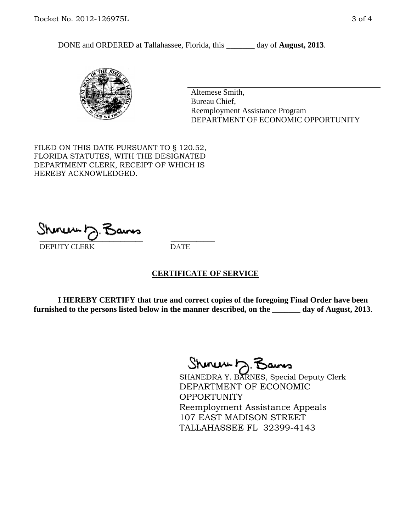DONE and ORDERED at Tallahassee, Florida, this \_\_\_\_\_\_\_ day of **August, 2013**.



Altemese Smith, Bureau Chief, Reemployment Assistance Program DEPARTMENT OF ECONOMIC OPPORTUNITY

FILED ON THIS DATE PURSUANT TO § 120.52, FLORIDA STATUTES, WITH THE DESIGNATED DEPARTMENT CLERK, RECEIPT OF WHICH IS HEREBY ACKNOWLEDGED.

 $\overline{\phantom{a}}$  ,  $\overline{\phantom{a}}$  ,  $\overline{\phantom{a}}$  ,  $\overline{\phantom{a}}$  ,  $\overline{\phantom{a}}$  ,  $\overline{\phantom{a}}$  ,  $\overline{\phantom{a}}$  ,  $\overline{\phantom{a}}$  ,  $\overline{\phantom{a}}$  ,  $\overline{\phantom{a}}$  ,  $\overline{\phantom{a}}$  ,  $\overline{\phantom{a}}$  ,  $\overline{\phantom{a}}$  ,  $\overline{\phantom{a}}$  ,  $\overline{\phantom{a}}$  ,  $\overline{\phantom{a}}$ DEPUTY CLERK DATE

### **CERTIFICATE OF SERVICE**

**I HEREBY CERTIFY that true and correct copies of the foregoing Final Order have been furnished to the persons listed below in the manner described, on the \_\_\_\_\_\_\_ day of August, 2013**.

Shenux D.F

SHANEDRA Y. BARNES, Special Deputy Clerk DEPARTMENT OF ECONOMIC **OPPORTUNITY** Reemployment Assistance Appeals 107 EAST MADISON STREET TALLAHASSEE FL 32399-4143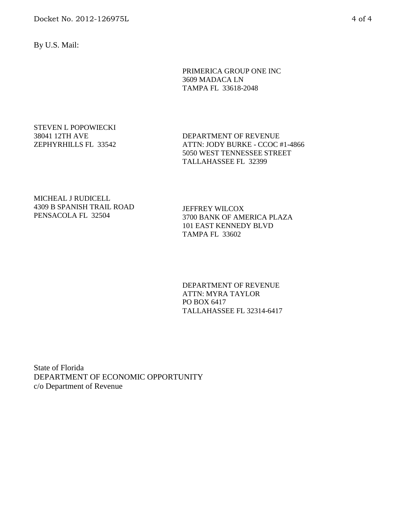Docket No. 2012-126975L 4 of 4

By U.S. Mail:

PRIMERICA GROUP ONE INC 3609 MADACA LN TAMPA FL 33618-2048

#### STEVEN L POPOWIECKI 38041 12TH AVE ZEPHYRHILLS FL 33542

DEPARTMENT OF REVENUE ATTN: JODY BURKE - CCOC #1-4866 5050 WEST TENNESSEE STREET TALLAHASSEE FL 32399

MICHEAL J RUDICELL 4309 B SPANISH TRAIL ROAD PENSACOLA FL 32504

JEFFREY WILCOX 3700 BANK OF AMERICA PLAZA 101 EAST KENNEDY BLVD TAMPA FL 33602

DEPARTMENT OF REVENUE ATTN: MYRA TAYLOR PO BOX 6417 TALLAHASSEE FL 32314-6417

State of Florida DEPARTMENT OF ECONOMIC OPPORTUNITY c/o Department of Revenue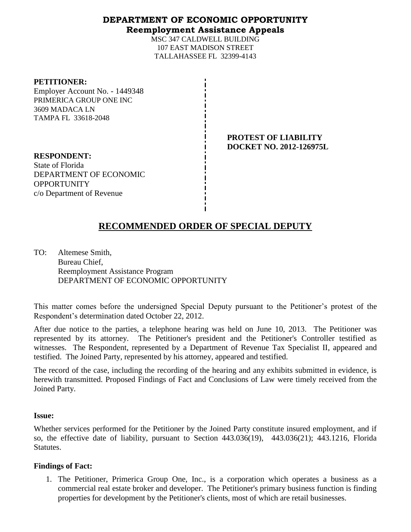## **DEPARTMENT OF ECONOMIC OPPORTUNITY Reemployment Assistance Appeals**

MSC 347 CALDWELL BUILDING 107 EAST MADISON STREET TALLAHASSEE FL 32399-4143

| <b>PETITIONER:</b>             |      |
|--------------------------------|------|
| Employer Account No. - 1449348 |      |
| PRIMERICA GROUP ONE INC        |      |
| 3609 MADACA LN                 |      |
| TAMPA FL 33618-2048            |      |
|                                |      |
|                                | PRO' |
|                                | DOC  |
| <b>RESPONDENT:</b>             |      |
| State of Florida               |      |
| DEPARTMENT OF ECONOMIC         |      |
| <b>OPPORTUNITY</b>             |      |
| c/o Department of Revenue      |      |

## **PROTEST OF LIABILITY EXET NO. 2012-126975L**

# **RECOMMENDED ORDER OF SPECIAL DEPUTY**

 $\mathbf{I}$ 

TO: Altemese Smith, Bureau Chief, Reemployment Assistance Program DEPARTMENT OF ECONOMIC OPPORTUNITY

This matter comes before the undersigned Special Deputy pursuant to the Petitioner's protest of the Respondent's determination dated October 22, 2012.

After due notice to the parties, a telephone hearing was held on June 10, 2013. The Petitioner was represented by its attorney. The Petitioner's president and the Petitioner's Controller testified as witnesses. The Respondent, represented by a Department of Revenue Tax Specialist II, appeared and testified. The Joined Party, represented by his attorney, appeared and testified.

The record of the case, including the recording of the hearing and any exhibits submitted in evidence, is herewith transmitted. Proposed Findings of Fact and Conclusions of Law were timely received from the Joined Party.

### **Issue:**

Whether services performed for the Petitioner by the Joined Party constitute insured employment, and if so, the effective date of liability, pursuant to Section 443.036(19), 443.036(21); 443.1216, Florida Statutes.

### **Findings of Fact:**

1. The Petitioner, Primerica Group One, Inc., is a corporation which operates a business as a commercial real estate broker and developer. The Petitioner's primary business function is finding properties for development by the Petitioner's clients, most of which are retail businesses.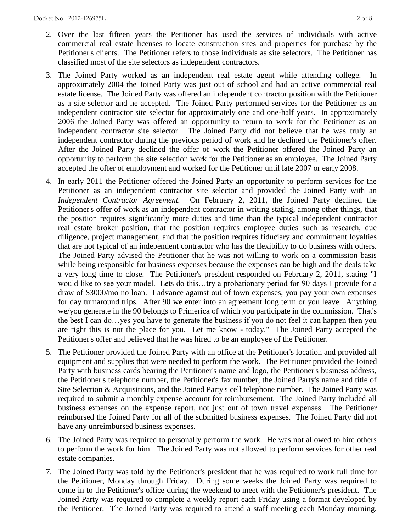- 2. Over the last fifteen years the Petitioner has used the services of individuals with active commercial real estate licenses to locate construction sites and properties for purchase by the Petitioner's clients. The Petitioner refers to those individuals as site selectors. The Petitioner has classified most of the site selectors as independent contractors.
- 3. The Joined Party worked as an independent real estate agent while attending college. In approximately 2004 the Joined Party was just out of school and had an active commercial real estate license. The Joined Party was offered an independent contractor position with the Petitioner as a site selector and he accepted. The Joined Party performed services for the Petitioner as an independent contractor site selector for approximately one and one-half years. In approximately 2006 the Joined Party was offered an opportunity to return to work for the Petitioner as an independent contractor site selector. The Joined Party did not believe that he was truly an independent contractor during the previous period of work and he declined the Petitioner's offer. After the Joined Party declined the offer of work the Petitioner offered the Joined Party an opportunity to perform the site selection work for the Petitioner as an employee. The Joined Party accepted the offer of employment and worked for the Petitioner until late 2007 or early 2008.
- 4. In early 2011 the Petitioner offered the Joined Party an opportunity to perform services for the Petitioner as an independent contractor site selector and provided the Joined Party with an *Independent Contractor Agreement.* On February 2, 2011, the Joined Party declined the Petitioner's offer of work as an independent contractor in writing stating, among other things, that the position requires significantly more duties and time than the typical independent contractor real estate broker position, that the position requires employee duties such as research, due diligence, project management, and that the position requires fiduciary and commitment loyalties that are not typical of an independent contractor who has the flexibility to do business with others. The Joined Party advised the Petitioner that he was not willing to work on a commission basis while being responsible for business expenses because the expenses can be high and the deals take a very long time to close. The Petitioner's president responded on February 2, 2011, stating "I would like to see your model. Lets do this…try a probationary period for 90 days I provide for a draw of \$3000/mo no loan. I advance against out of town expenses, you pay your own expenses for day turnaround trips. After 90 we enter into an agreement long term or you leave. Anything we/you generate in the 90 belongs to Primerica of which you participate in the commission. That's the best I can do…yes you have to generate the business if you do not feel it can happen then you are right this is not the place for you. Let me know - today." The Joined Party accepted the Petitioner's offer and believed that he was hired to be an employee of the Petitioner.
- 5. The Petitioner provided the Joined Party with an office at the Petitioner's location and provided all equipment and supplies that were needed to perform the work. The Petitioner provided the Joined Party with business cards bearing the Petitioner's name and logo, the Petitioner's business address, the Petitioner's telephone number, the Petitioner's fax number, the Joined Party's name and title of Site Selection & Acquisitions, and the Joined Party's cell telephone number. The Joined Party was required to submit a monthly expense account for reimbursement. The Joined Party included all business expenses on the expense report, not just out of town travel expenses. The Petitioner reimbursed the Joined Party for all of the submitted business expenses. The Joined Party did not have any unreimbursed business expenses.
- 6. The Joined Party was required to personally perform the work. He was not allowed to hire others to perform the work for him. The Joined Party was not allowed to perform services for other real estate companies.
- 7. The Joined Party was told by the Petitioner's president that he was required to work full time for the Petitioner, Monday through Friday. During some weeks the Joined Party was required to come in to the Petitioner's office during the weekend to meet with the Petitioner's president. The Joined Party was required to complete a weekly report each Friday using a format developed by the Petitioner. The Joined Party was required to attend a staff meeting each Monday morning.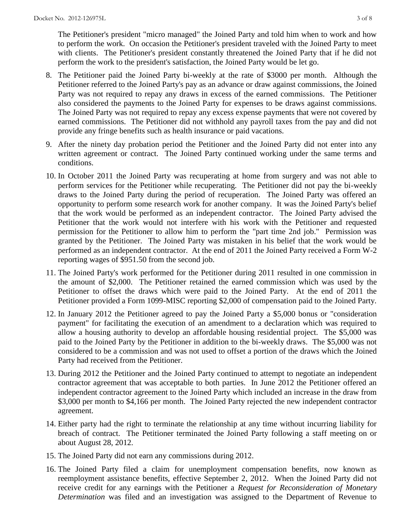The Petitioner's president "micro managed" the Joined Party and told him when to work and how to perform the work. On occasion the Petitioner's president traveled with the Joined Party to meet with clients. The Petitioner's president constantly threatened the Joined Party that if he did not perform the work to the president's satisfaction, the Joined Party would be let go.

- 8. The Petitioner paid the Joined Party bi-weekly at the rate of \$3000 per month. Although the Petitioner referred to the Joined Party's pay as an advance or draw against commissions, the Joined Party was not required to repay any draws in excess of the earned commissions. The Petitioner also considered the payments to the Joined Party for expenses to be draws against commissions. The Joined Party was not required to repay any excess expense payments that were not covered by earned commissions. The Petitioner did not withhold any payroll taxes from the pay and did not provide any fringe benefits such as health insurance or paid vacations.
- 9. After the ninety day probation period the Petitioner and the Joined Party did not enter into any written agreement or contract. The Joined Party continued working under the same terms and conditions.
- 10. In October 2011 the Joined Party was recuperating at home from surgery and was not able to perform services for the Petitioner while recuperating. The Petitioner did not pay the bi-weekly draws to the Joined Party during the period of recuperation. The Joined Party was offered an opportunity to perform some research work for another company. It was the Joined Party's belief that the work would be performed as an independent contractor. The Joined Party advised the Petitioner that the work would not interfere with his work with the Petitioner and requested permission for the Petitioner to allow him to perform the "part time 2nd job." Permission was granted by the Petitioner. The Joined Party was mistaken in his belief that the work would be performed as an independent contractor. At the end of 2011 the Joined Party received a Form W-2 reporting wages of \$951.50 from the second job.
- 11. The Joined Party's work performed for the Petitioner during 2011 resulted in one commission in the amount of \$2,000. The Petitioner retained the earned commission which was used by the Petitioner to offset the draws which were paid to the Joined Party. At the end of 2011 the Petitioner provided a Form 1099-MISC reporting \$2,000 of compensation paid to the Joined Party.
- 12. In January 2012 the Petitioner agreed to pay the Joined Party a \$5,000 bonus or "consideration payment" for facilitating the execution of an amendment to a declaration which was required to allow a housing authority to develop an affordable housing residential project. The \$5,000 was paid to the Joined Party by the Petitioner in addition to the bi-weekly draws. The \$5,000 was not considered to be a commission and was not used to offset a portion of the draws which the Joined Party had received from the Petitioner.
- 13. During 2012 the Petitioner and the Joined Party continued to attempt to negotiate an independent contractor agreement that was acceptable to both parties. In June 2012 the Petitioner offered an independent contractor agreement to the Joined Party which included an increase in the draw from \$3,000 per month to \$4,166 per month. The Joined Party rejected the new independent contractor agreement.
- 14. Either party had the right to terminate the relationship at any time without incurring liability for breach of contract. The Petitioner terminated the Joined Party following a staff meeting on or about August 28, 2012.
- 15. The Joined Party did not earn any commissions during 2012.
- 16. The Joined Party filed a claim for unemployment compensation benefits, now known as reemployment assistance benefits, effective September 2, 2012. When the Joined Party did not receive credit for any earnings with the Petitioner a *Request for Reconsideration of Monetary Determination* was filed and an investigation was assigned to the Department of Revenue to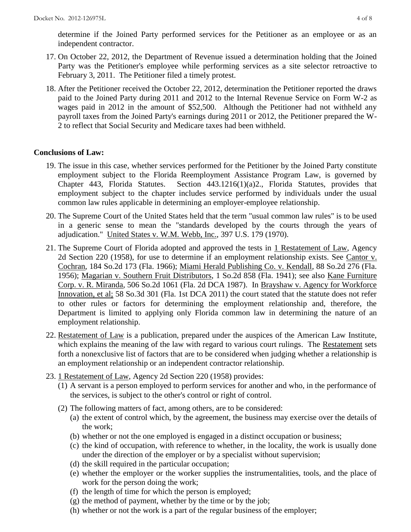determine if the Joined Party performed services for the Petitioner as an employee or as an independent contractor.

- 17. On October 22, 2012, the Department of Revenue issued a determination holding that the Joined Party was the Petitioner's employee while performing services as a site selector retroactive to February 3, 2011. The Petitioner filed a timely protest.
- 18. After the Petitioner received the October 22, 2012, determination the Petitioner reported the draws paid to the Joined Party during 2011 and 2012 to the Internal Revenue Service on Form W-2 as wages paid in 2012 in the amount of \$52,500. Although the Petitioner had not withheld any payroll taxes from the Joined Party's earnings during 2011 or 2012, the Petitioner prepared the W-2 to reflect that Social Security and Medicare taxes had been withheld.

### **Conclusions of Law:**

- 19. The issue in this case, whether services performed for the Petitioner by the Joined Party constitute employment subject to the Florida Reemployment Assistance Program Law, is governed by Chapter 443, Florida Statutes. Section 443.1216(1)(a)2., Florida Statutes, provides that employment subject to the chapter includes service performed by individuals under the usual common law rules applicable in determining an employer-employee relationship.
- 20. The Supreme Court of the United States held that the term "usual common law rules" is to be used in a generic sense to mean the "standards developed by the courts through the years of adjudication." United States v. W.M. Webb, Inc., 397 U.S. 179 (1970).
- 21. The Supreme Court of Florida adopted and approved the tests in 1 Restatement of Law, Agency 2d Section 220 (1958), for use to determine if an employment relationship exists. See Cantor v. Cochran, 184 So.2d 173 (Fla. 1966); Miami Herald Publishing Co. v. Kendall, 88 So.2d 276 (Fla. 1956); Magarian v. Southern Fruit Distributors, 1 So.2d 858 (Fla. 1941); see also Kane Furniture Corp. v. R. Miranda, 506 So.2d 1061 (Fla. 2d DCA 1987). In Brayshaw v. Agency for Workforce Innovation, et al; 58 So.3d 301 (Fla. 1st DCA 2011) the court stated that the statute does not refer to other rules or factors for determining the employment relationship and, therefore, the Department is limited to applying only Florida common law in determining the nature of an employment relationship.
- 22. Restatement of Law is a publication, prepared under the auspices of the American Law Institute, which explains the meaning of the law with regard to various court rulings. The Restatement sets forth a nonexclusive list of factors that are to be considered when judging whether a relationship is an employment relationship or an independent contractor relationship.
- 23. 1 Restatement of Law, Agency 2d Section 220 (1958) provides:
	- (1) A servant is a person employed to perform services for another and who, in the performance of the services, is subject to the other's control or right of control.
	- (2) The following matters of fact, among others, are to be considered:
		- (a) the extent of control which, by the agreement, the business may exercise over the details of the work;
		- (b) whether or not the one employed is engaged in a distinct occupation or business;
		- (c) the kind of occupation, with reference to whether, in the locality, the work is usually done under the direction of the employer or by a specialist without supervision;
		- (d) the skill required in the particular occupation;
		- (e) whether the employer or the worker supplies the instrumentalities, tools, and the place of work for the person doing the work;
		- (f) the length of time for which the person is employed;
		- $(g)$  the method of payment, whether by the time or by the job;
		- (h) whether or not the work is a part of the regular business of the employer;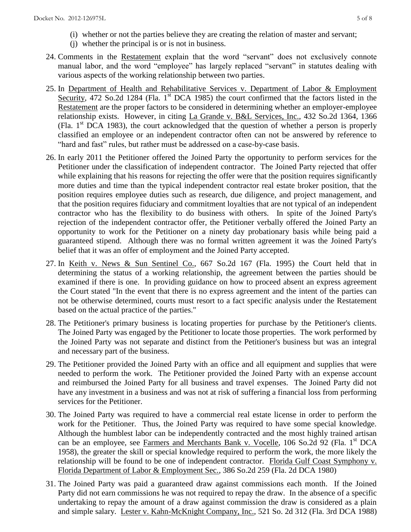- (i) whether or not the parties believe they are creating the relation of master and servant;
- (j) whether the principal is or is not in business.
- 24. Comments in the Restatement explain that the word "servant" does not exclusively connote manual labor, and the word "employee" has largely replaced "servant" in statutes dealing with various aspects of the working relationship between two parties.
- 25. In Department of Health and Rehabilitative Services v. Department of Labor & Employment Security, 472 So.2d 1284 (Fla. 1<sup>st</sup> DCA 1985) the court confirmed that the factors listed in the Restatement are the proper factors to be considered in determining whether an employer-employee relationship exists. However, in citing La Grande v. B&L Services, Inc., 432 So.2d 1364, 1366 (Fla. 1st DCA 1983), the court acknowledged that the question of whether a person is properly classified an employee or an independent contractor often can not be answered by reference to "hard and fast" rules, but rather must be addressed on a case-by-case basis.
- 26. In early 2011 the Petitioner offered the Joined Party the opportunity to perform services for the Petitioner under the classification of independent contractor. The Joined Party rejected that offer while explaining that his reasons for rejecting the offer were that the position requires significantly more duties and time than the typical independent contractor real estate broker position, that the position requires employee duties such as research, due diligence, and project management, and that the position requires fiduciary and commitment loyalties that are not typical of an independent contractor who has the flexibility to do business with others. In spite of the Joined Party's rejection of the independent contractor offer, the Petitioner verbally offered the Joined Party an opportunity to work for the Petitioner on a ninety day probationary basis while being paid a guaranteed stipend. Although there was no formal written agreement it was the Joined Party's belief that it was an offer of employment and the Joined Party accepted.
- 27. In Keith v. News & Sun Sentinel Co., 667 So.2d 167 (Fla. 1995) the Court held that in determining the status of a working relationship, the agreement between the parties should be examined if there is one. In providing guidance on how to proceed absent an express agreement the Court stated "In the event that there is no express agreement and the intent of the parties can not be otherwise determined, courts must resort to a fact specific analysis under the Restatement based on the actual practice of the parties."
- 28. The Petitioner's primary business is locating properties for purchase by the Petitioner's clients. The Joined Party was engaged by the Petitioner to locate those properties. The work performed by the Joined Party was not separate and distinct from the Petitioner's business but was an integral and necessary part of the business.
- 29. The Petitioner provided the Joined Party with an office and all equipment and supplies that were needed to perform the work. The Petitioner provided the Joined Party with an expense account and reimbursed the Joined Party for all business and travel expenses. The Joined Party did not have any investment in a business and was not at risk of suffering a financial loss from performing services for the Petitioner.
- 30. The Joined Party was required to have a commercial real estate license in order to perform the work for the Petitioner. Thus, the Joined Party was required to have some special knowledge. Although the humblest labor can be independently contracted and the most highly trained artisan can be an employee, see Farmers and Merchants Bank v. Vocelle, 106 So.2d 92 (Fla. 1<sup>st</sup> DCA 1958), the greater the skill or special knowledge required to perform the work, the more likely the relationship will be found to be one of independent contractor. Florida Gulf Coast Symphony v. Florida Department of Labor & Employment Sec., 386 So.2d 259 (Fla. 2d DCA 1980)
- 31. The Joined Party was paid a guaranteed draw against commissions each month. If the Joined Party did not earn commissions he was not required to repay the draw. In the absence of a specific undertaking to repay the amount of a draw against commission the draw is considered as a plain and simple salary. Lester v. Kahn-McKnight Company, Inc., 521 So. 2d 312 (Fla. 3rd DCA 1988)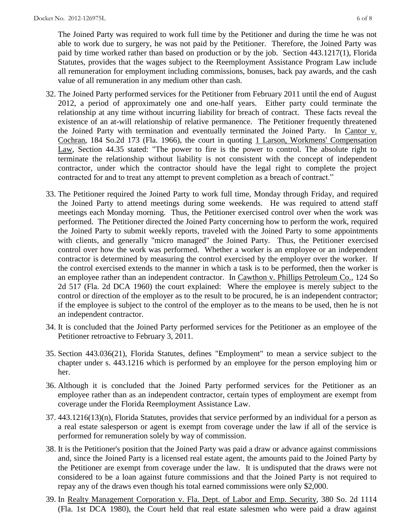The Joined Party was required to work full time by the Petitioner and during the time he was not able to work due to surgery, he was not paid by the Petitioner. Therefore, the Joined Party was paid by time worked rather than based on production or by the job. Section 443.1217(1), Florida Statutes, provides that the wages subject to the Reemployment Assistance Program Law include all remuneration for employment including commissions, bonuses, back pay awards, and the cash value of all remuneration in any medium other than cash.

- 32. The Joined Party performed services for the Petitioner from February 2011 until the end of August 2012, a period of approximately one and one-half years. Either party could terminate the relationship at any time without incurring liability for breach of contract. These facts reveal the existence of an at-will relationship of relative permanence. The Petitioner frequently threatened the Joined Party with termination and eventually terminated the Joined Party. In Cantor v. Cochran, 184 So.2d 173 (Fla. 1966), the court in quoting 1 Larson, Workmens' Compensation Law, Section 44.35 stated: "The power to fire is the power to control. The absolute right to terminate the relationship without liability is not consistent with the concept of independent contractor, under which the contractor should have the legal right to complete the project contracted for and to treat any attempt to prevent completion as a breach of contract."
- 33. The Petitioner required the Joined Party to work full time, Monday through Friday, and required the Joined Party to attend meetings during some weekends. He was required to attend staff meetings each Monday morning. Thus, the Petitioner exercised control over when the work was performed. The Petitioner directed the Joined Party concerning how to perform the work, required the Joined Party to submit weekly reports, traveled with the Joined Party to some appointments with clients, and generally "micro managed" the Joined Party. Thus, the Petitioner exercised control over how the work was performed. Whether a worker is an employee or an independent contractor is determined by measuring the control exercised by the employer over the worker. If the control exercised extends to the manner in which a task is to be performed, then the worker is an employee rather than an independent contractor. In Cawthon v. Phillips Petroleum Co., 124 So 2d 517 (Fla. 2d DCA 1960) the court explained: Where the employee is merely subject to the control or direction of the employer as to the result to be procured, he is an independent contractor; if the employee is subject to the control of the employer as to the means to be used, then he is not an independent contractor.
- 34. It is concluded that the Joined Party performed services for the Petitioner as an employee of the Petitioner retroactive to February 3, 2011.
- 35. Section 443.036(21), Florida Statutes, defines "Employment" to mean a service subject to the chapter under s. 443.1216 which is performed by an employee for the person employing him or her.
- 36. Although it is concluded that the Joined Party performed services for the Petitioner as an employee rather than as an independent contractor, certain types of employment are exempt from coverage under the Florida Reemployment Assistance Law.
- 37. 443.1216(13)(n), Florida Statutes, provides that service performed by an individual for a person as a real estate salesperson or agent is exempt from coverage under the law if all of the service is performed for remuneration solely by way of commission.
- 38. It is the Petitioner's position that the Joined Party was paid a draw or advance against commissions and, since the Joined Party is a licensed real estate agent, the amounts paid to the Joined Party by the Petitioner are exempt from coverage under the law. It is undisputed that the draws were not considered to be a loan against future commissions and that the Joined Party is not required to repay any of the draws even though his total earned commissions were only \$2,000.
- 39. In Realty Management Corporation v. Fla. Dept. of Labor and Emp. Security, 380 So. 2d 1114 (Fla. 1st DCA 1980), the Court held that real estate salesmen who were paid a draw against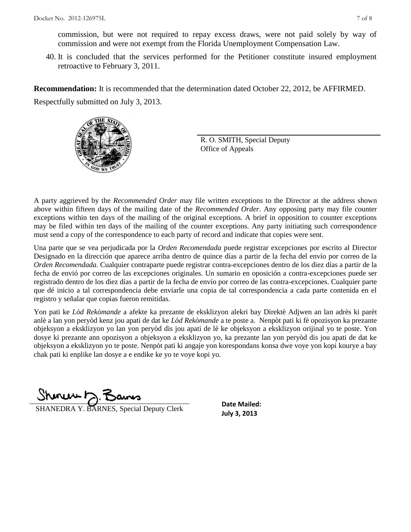commission, but were not required to repay excess draws, were not paid solely by way of commission and were not exempt from the Florida Unemployment Compensation Law.

40. It is concluded that the services performed for the Petitioner constitute insured employment retroactive to February 3, 2011.

**Recommendation:** It is recommended that the determination dated October 22, 2012, be AFFIRMED. Respectfully submitted on July 3, 2013.



R. O. SMITH, Special Deputy Office of Appeals

A party aggrieved by the *Recommended Order* may file written exceptions to the Director at the address shown above within fifteen days of the mailing date of the *Recommended Order*. Any opposing party may file counter exceptions within ten days of the mailing of the original exceptions. A brief in opposition to counter exceptions may be filed within ten days of the mailing of the counter exceptions. Any party initiating such correspondence must send a copy of the correspondence to each party of record and indicate that copies were sent.

Una parte que se vea perjudicada por la *Orden Recomendada* puede registrar excepciones por escrito al Director Designado en la dirección que aparece arriba dentro de quince días a partir de la fecha del envío por correo de la *Orden Recomendada*. Cualquier contraparte puede registrar contra-excepciones dentro de los diez días a partir de la fecha de envió por correo de las excepciones originales. Un sumario en oposición a contra-excepciones puede ser registrado dentro de los diez días a partir de la fecha de envío por correo de las contra-excepciones. Cualquier parte que dé inicio a tal correspondencia debe enviarle una copia de tal correspondencia a cada parte contenida en el registro y señalar que copias fueron remitidas.

Yon pati ke *Lòd Rekòmande* a afekte ka prezante de eksklizyon alekri bay Direktè Adjwen an lan adrès ki parèt anlè a lan yon peryòd kenz jou apati de dat ke *Lòd Rekòmande* a te poste a. Nenpòt pati ki fè opozisyon ka prezante objeksyon a eksklizyon yo lan yon peryòd dis jou apati de lè ke objeksyon a eksklizyon orijinal yo te poste. Yon dosye ki prezante ann opozisyon a objeksyon a eksklizyon yo, ka prezante lan yon peryòd dis jou apati de dat ke objeksyon a eksklizyon yo te poste. Nenpòt pati ki angaje yon korespondans konsa dwe voye yon kopi kourye a bay chak pati ki enplike lan dosye a e endike ke yo te voye kopi yo.

Shines b.

**SHANEDRA Y. BARNES, Special Deputy Clerk SHANEDRA Y. BARNES**, Special Deputy Clerk

**Date Mailed:**